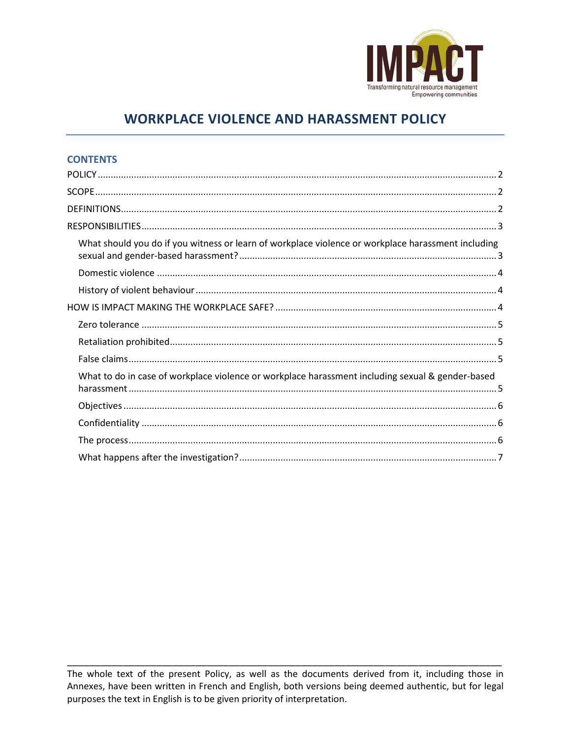

# **WORKPLACE VIOLENCE AND HARASSMENT POLICY**

# **CONTENTS**

| What should you do if you witness or learn of workplace violence or workplace harassment including |
|----------------------------------------------------------------------------------------------------|
|                                                                                                    |
|                                                                                                    |
|                                                                                                    |
|                                                                                                    |
|                                                                                                    |
|                                                                                                    |
| What to do in case of workplace violence or workplace harassment including sexual & gender-based   |
|                                                                                                    |
|                                                                                                    |
|                                                                                                    |
|                                                                                                    |

The whole text of the present Policy, as well as the documents derived from it, including those in Annexes, have been written in French and English, both versions being deemed authentic, but for legal purposes the text in English is to be given priority of interpretation.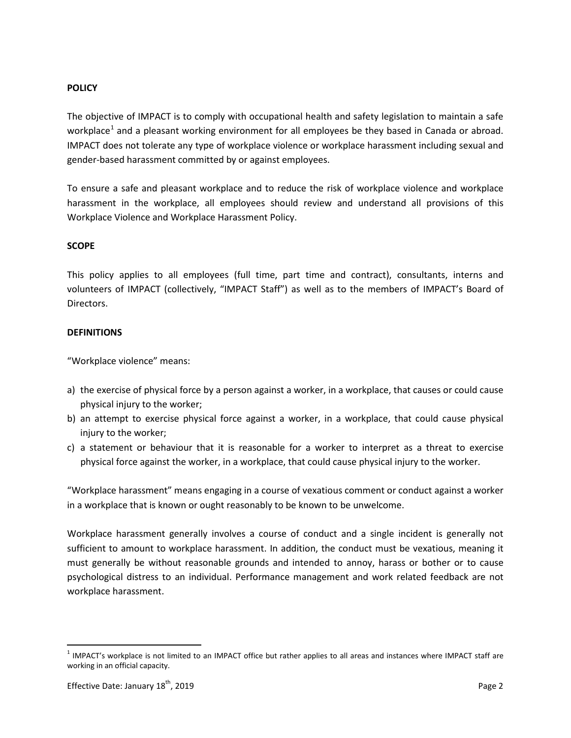## <span id="page-1-0"></span>**POLICY**

The objective of IMPACT is to comply with occupational health and safety legislation to maintain a safe workplace<sup>[1](#page-1-3)</sup> and a pleasant working environment for all employees be they based in Canada or abroad. IMPACT does not tolerate any type of workplace violence or workplace harassment including sexual and gender-based harassment committed by or against employees.

To ensure a safe and pleasant workplace and to reduce the risk of workplace violence and workplace harassment in the workplace, all employees should review and understand all provisions of this Workplace Violence and Workplace Harassment Policy.

## <span id="page-1-1"></span>**SCOPE**

This policy applies to all employees (full time, part time and contract), consultants, interns and volunteers of IMPACT (collectively, "IMPACT Staff") as well as to the members of IMPACT's Board of Directors.

## <span id="page-1-2"></span>**DEFINITIONS**

"Workplace violence" means:

- a) the exercise of physical force by a person against a worker, in a workplace, that causes or could cause physical injury to the worker;
- b) an attempt to exercise physical force against a worker, in a workplace, that could cause physical injury to the worker;
- c) a statement or behaviour that it is reasonable for a worker to interpret as a threat to exercise physical force against the worker, in a workplace, that could cause physical injury to the worker.

"Workplace harassment" means engaging in a course of vexatious comment or conduct against a worker in a workplace that is known or ought reasonably to be known to be unwelcome.

Workplace harassment generally involves a course of conduct and a single incident is generally not sufficient to amount to workplace harassment. In addition, the conduct must be vexatious, meaning it must generally be without reasonable grounds and intended to annoy, harass or bother or to cause psychological distress to an individual. Performance management and work related feedback are not workplace harassment.

<span id="page-1-3"></span> $1$  IMPACT's workplace is not limited to an IMPACT office but rather applies to all areas and instances where IMPACT staff are working in an official capacity.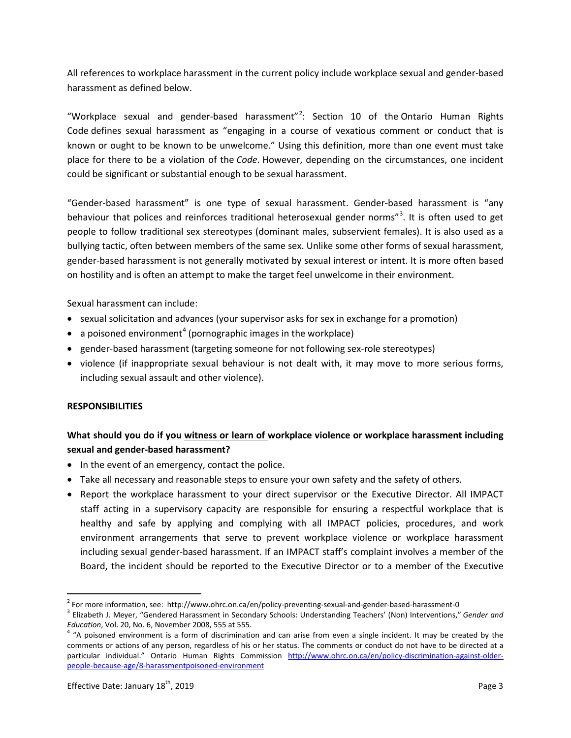All references to workplace harassment in the current policy include workplace sexual and gender-based harassment as defined below.

"Workplace sexual and gender-based harassment"<sup>[2](#page-2-2)</sup>: Section 10 of the Ontario Human Rights Code defines sexual harassment as "engaging in a course of vexatious comment or conduct that is known or ought to be known to be unwelcome." Using this definition, more than one event must take place for there to be a violation of the *Code*. However, depending on the circumstances, one incident could be significant or substantial enough to be sexual harassment.

"Gender-based harassment" is one type of sexual harassment. Gender-based harassment is "any behaviour that polices and reinforces traditional heterosexual gender norms"<sup>[3](#page-2-3)</sup>. It is often used to get people to follow traditional sex stereotypes (dominant males, subservient females). It is also used as a bullying tactic, often between members of the same sex. Unlike some other forms of sexual harassment, gender-based harassment is not generally motivated by sexual interest or intent. It is more often based on hostility and is often an attempt to make the target feel unwelcome in their environment.

Sexual harassment can include:

- sexual solicitation and advances (your supervisor asks for sex in exchange for a promotion)
- a poisoned environment<sup>[4](#page-2-4)</sup> (pornographic images in the workplace)
- gender-based harassment (targeting someone for not following sex-role stereotypes)
- violence (if inappropriate sexual behaviour is not dealt with, it may move to more serious forms, including sexual assault and other violence).

## <span id="page-2-0"></span>**RESPONSIBILITIES**

# <span id="page-2-1"></span>**What should you do if you witness or learn of workplace violence or workplace harassment including sexual and gender-based harassment?**

- In the event of an emergency, contact the police.
- Take all necessary and reasonable steps to ensure your own safety and the safety of others.
- Report the workplace harassment to your direct supervisor or the Executive Director. All IMPACT staff acting in a supervisory capacity are responsible for ensuring a respectful workplace that is healthy and safe by applying and complying with all IMPACT policies, procedures, and work environment arrangements that serve to prevent workplace violence or workplace harassment including sexual gender-based harassment. If an IMPACT staff's complaint involves a member of the Board, the incident should be reported to the Executive Director or to a member of the Executive

<span id="page-2-3"></span><span id="page-2-2"></span><sup>&</sup>lt;sup>2</sup> For more information, see: http://www.ohrc.on.ca/en/policy-preventing-sexual-and-gender-based-harassment-0<br><sup>3</sup> Elizabeth J. Meyer, "Gendered Harassment in Secondary Schools: Understanding Teachers' (Non) Interventions

<span id="page-2-4"></span>*Education*, Vol. 20, No. 6, November 2008, 555 at 555.<br><sup>4</sup> "A poisoned environment is a form of discrimination and can arise from even a single incident. It may be created by the comments or actions of any person, regardless of his or her status. The comments or conduct do not have to be directed at a particular individual." Ontario Human Rights Commission [http://www.ohrc.on.ca/en/policy-discrimination-against-older](http://www.ohrc.on.ca/en/policy-discrimination-against-older-people-because-age/8-harassmentpoisoned-environment)[people-because-age/8-harassmentpoisoned-environment](http://www.ohrc.on.ca/en/policy-discrimination-against-older-people-because-age/8-harassmentpoisoned-environment)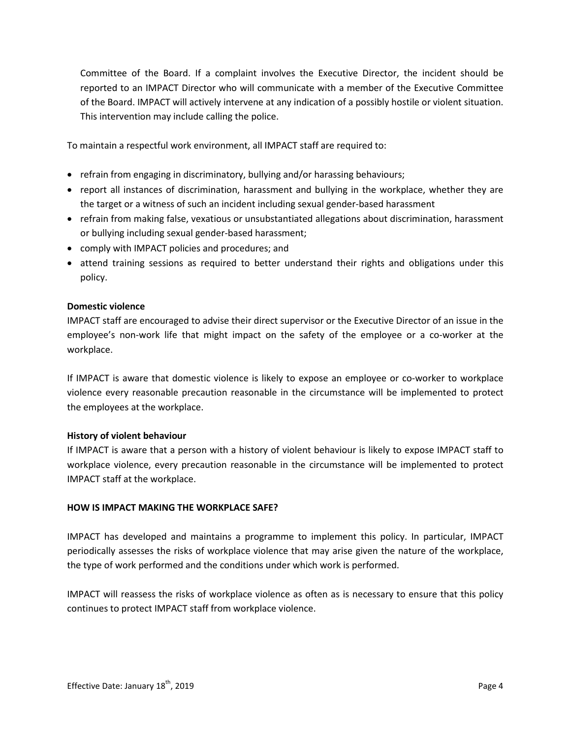Committee of the Board. If a complaint involves the Executive Director, the incident should be reported to an IMPACT Director who will communicate with a member of the Executive Committee of the Board. IMPACT will actively intervene at any indication of a possibly hostile or violent situation. This intervention may include calling the police.

To maintain a respectful work environment, all IMPACT staff are required to:

- refrain from engaging in discriminatory, bullying and/or harassing behaviours;
- report all instances of discrimination, harassment and bullying in the workplace, whether they are the target or a witness of such an incident including sexual gender-based harassment
- refrain from making false, vexatious or unsubstantiated allegations about discrimination, harassment or bullying including sexual gender-based harassment;
- comply with IMPACT policies and procedures; and
- attend training sessions as required to better understand their rights and obligations under this policy.

## <span id="page-3-0"></span>**Domestic violence**

IMPACT staff are encouraged to advise their direct supervisor or the Executive Director of an issue in the employee's non-work life that might impact on the safety of the employee or a co-worker at the workplace.

If IMPACT is aware that domestic violence is likely to expose an employee or co-worker to workplace violence every reasonable precaution reasonable in the circumstance will be implemented to protect the employees at the workplace.

## <span id="page-3-1"></span>**History of violent behaviour**

If IMPACT is aware that a person with a history of violent behaviour is likely to expose IMPACT staff to workplace violence, every precaution reasonable in the circumstance will be implemented to protect IMPACT staff at the workplace.

## <span id="page-3-2"></span>**HOW IS IMPACT MAKING THE WORKPLACE SAFE?**

IMPACT has developed and maintains a programme to implement this policy. In particular, IMPACT periodically assesses the risks of workplace violence that may arise given the nature of the workplace, the type of work performed and the conditions under which work is performed.

IMPACT will reassess the risks of workplace violence as often as is necessary to ensure that this policy continues to protect IMPACT staff from workplace violence.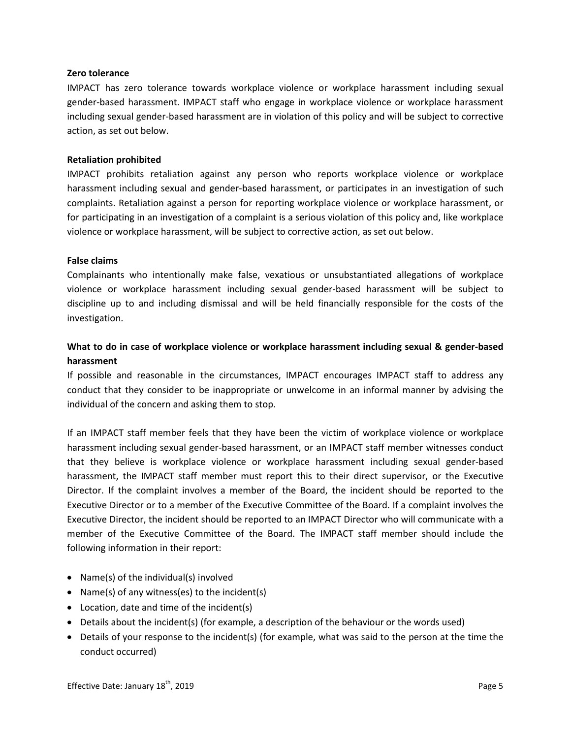#### <span id="page-4-0"></span>**Zero tolerance**

IMPACT has zero tolerance towards workplace violence or workplace harassment including sexual gender-based harassment. IMPACT staff who engage in workplace violence or workplace harassment including sexual gender-based harassment are in violation of this policy and will be subject to corrective action, as set out below.

#### <span id="page-4-1"></span>**Retaliation prohibited**

IMPACT prohibits retaliation against any person who reports workplace violence or workplace harassment including sexual and gender-based harassment, or participates in an investigation of such complaints. Retaliation against a person for reporting workplace violence or workplace harassment, or for participating in an investigation of a complaint is a serious violation of this policy and, like workplace violence or workplace harassment, will be subject to corrective action, as set out below.

#### <span id="page-4-2"></span>**False claims**

Complainants who intentionally make false, vexatious or unsubstantiated allegations of workplace violence or workplace harassment including sexual gender-based harassment will be subject to discipline up to and including dismissal and will be held financially responsible for the costs of the investigation.

# <span id="page-4-3"></span>**What to do in case of workplace violence or workplace harassment including sexual & gender-based harassment**

If possible and reasonable in the circumstances, IMPACT encourages IMPACT staff to address any conduct that they consider to be inappropriate or unwelcome in an informal manner by advising the individual of the concern and asking them to stop.

If an IMPACT staff member feels that they have been the victim of workplace violence or workplace harassment including sexual gender-based harassment, or an IMPACT staff member witnesses conduct that they believe is workplace violence or workplace harassment including sexual gender-based harassment, the IMPACT staff member must report this to their direct supervisor, or the Executive Director. If the complaint involves a member of the Board, the incident should be reported to the Executive Director or to a member of the Executive Committee of the Board. If a complaint involves the Executive Director, the incident should be reported to an IMPACT Director who will communicate with a member of the Executive Committee of the Board. The IMPACT staff member should include the following information in their report:

- Name(s) of the individual(s) involved
- Name(s) of any witness(es) to the incident(s)
- Location, date and time of the incident(s)
- Details about the incident(s) (for example, a description of the behaviour or the words used)
- Details of your response to the incident(s) (for example, what was said to the person at the time the conduct occurred)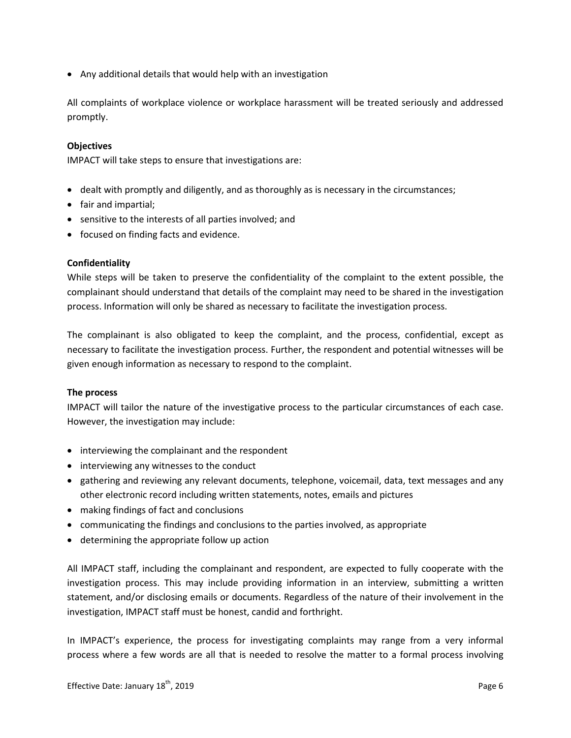• Any additional details that would help with an investigation

All complaints of workplace violence or workplace harassment will be treated seriously and addressed promptly.

#### <span id="page-5-0"></span>**Objectives**

IMPACT will take steps to ensure that investigations are:

- dealt with promptly and diligently, and as thoroughly as is necessary in the circumstances;
- fair and impartial;
- sensitive to the interests of all parties involved; and
- focused on finding facts and evidence.

#### <span id="page-5-1"></span>**Confidentiality**

While steps will be taken to preserve the confidentiality of the complaint to the extent possible, the complainant should understand that details of the complaint may need to be shared in the investigation process. Information will only be shared as necessary to facilitate the investigation process.

The complainant is also obligated to keep the complaint, and the process, confidential, except as necessary to facilitate the investigation process. Further, the respondent and potential witnesses will be given enough information as necessary to respond to the complaint.

#### <span id="page-5-2"></span>**The process**

IMPACT will tailor the nature of the investigative process to the particular circumstances of each case. However, the investigation may include:

- interviewing the complainant and the respondent
- interviewing any witnesses to the conduct
- gathering and reviewing any relevant documents, telephone, voicemail, data, text messages and any other electronic record including written statements, notes, emails and pictures
- making findings of fact and conclusions
- communicating the findings and conclusions to the parties involved, as appropriate
- determining the appropriate follow up action

All IMPACT staff, including the complainant and respondent, are expected to fully cooperate with the investigation process. This may include providing information in an interview, submitting a written statement, and/or disclosing emails or documents. Regardless of the nature of their involvement in the investigation, IMPACT staff must be honest, candid and forthright.

In IMPACT's experience, the process for investigating complaints may range from a very informal process where a few words are all that is needed to resolve the matter to a formal process involving